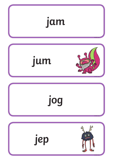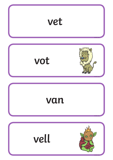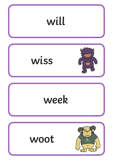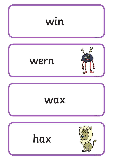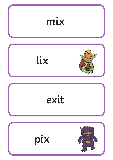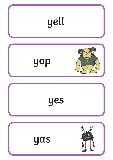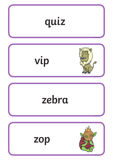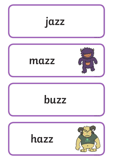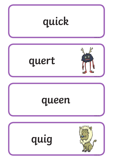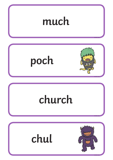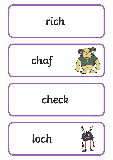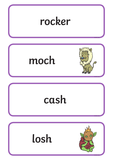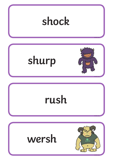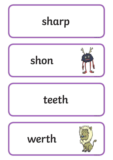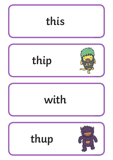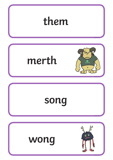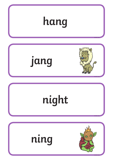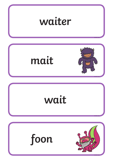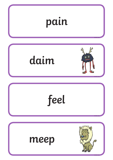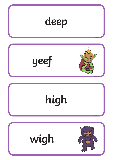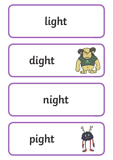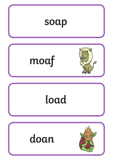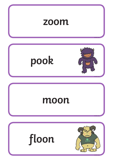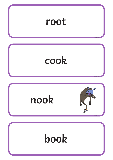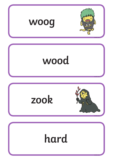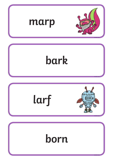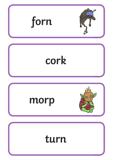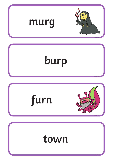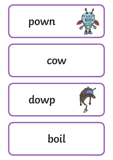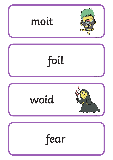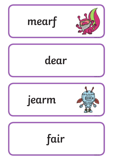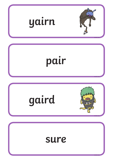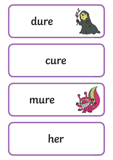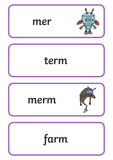